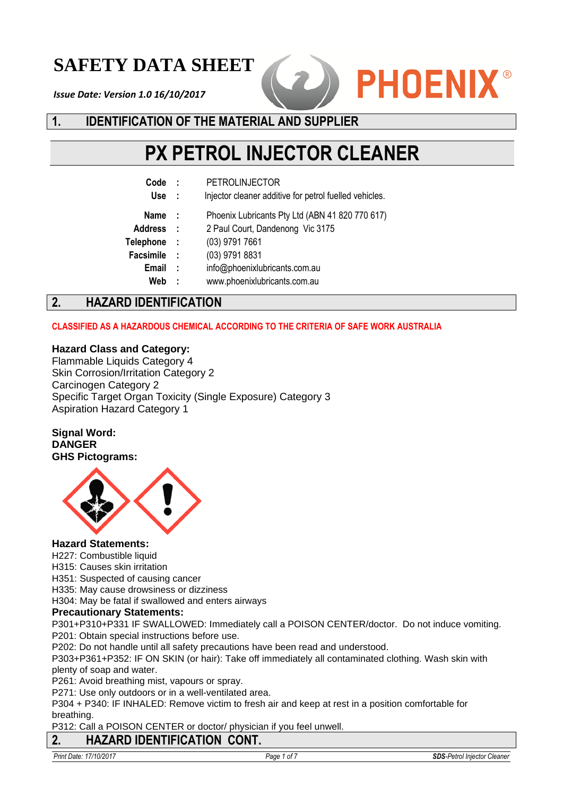## **SAFETY DATA SHEET**

*Issue Date: Version 1.0 16/10/2017*



## **1. IDENTIFICATION OF THE MATERIAL AND SUPPLIER**

# **PX PETROL INJECTOR CLEANER**

- **Code :** PETROLINJECTOR
- **Use :** Injector cleaner additive for petrol fuelled vehicles.
- **Name :** Phoenix Lubricants Pty Ltd (ABN 41 820 770 617)
- **Address :** 2 Paul Court, Dandenong Vic 3175
- **Telephone :** (03) 9791 7661
- **Facsimile :** (03) 9791 8831
	- **Email :** info@phoenixlubricants.com.au
	- **Web :** www.phoenixlubricants.com.au

## **2. HAZARD IDENTIFICATION**

#### **CLASSIFIED AS A HAZARDOUS CHEMICAL ACCORDING TO THE CRITERIA OF SAFE WORK AUSTRALIA**

#### **Hazard Class and Category:**

Flammable Liquids Category 4 Skin Corrosion/Irritation Category 2 Carcinogen Category 2 Specific Target Organ Toxicity (Single Exposure) Category 3 Aspiration Hazard Category 1

**Signal Word: DANGER GHS Pictograms:**



#### **Hazard Statements:**

H227: Combustible liquid

H315: Causes skin irritation

H351: Suspected of causing cancer

H335: May cause drowsiness or dizziness

H304: May be fatal if swallowed and enters airways

#### **Precautionary Statements:**

P301+P310+P331 IF SWALLOWED: Immediately call a POISON CENTER/doctor. Do not induce vomiting. P201: Obtain special instructions before use.

P202: Do not handle until all safety precautions have been read and understood.

P303+P361+P352: IF ON SKIN (or hair): Take off immediately all contaminated clothing. Wash skin with plenty of soap and water.

P261: Avoid breathing mist, vapours or spray.

P271: Use only outdoors or in a well-ventilated area.

P304 + P340: IF INHALED: Remove victim to fresh air and keep at rest in a position comfortable for breathing.

P312: Call a POISON CENTER or doctor/ physician if you feel unwell.

## **2. HAZARD IDENTIFICATION CONT.**

*Print Date: 17/10/2017 Page 1 of 7 SDS-Petrol Injector Cleaner*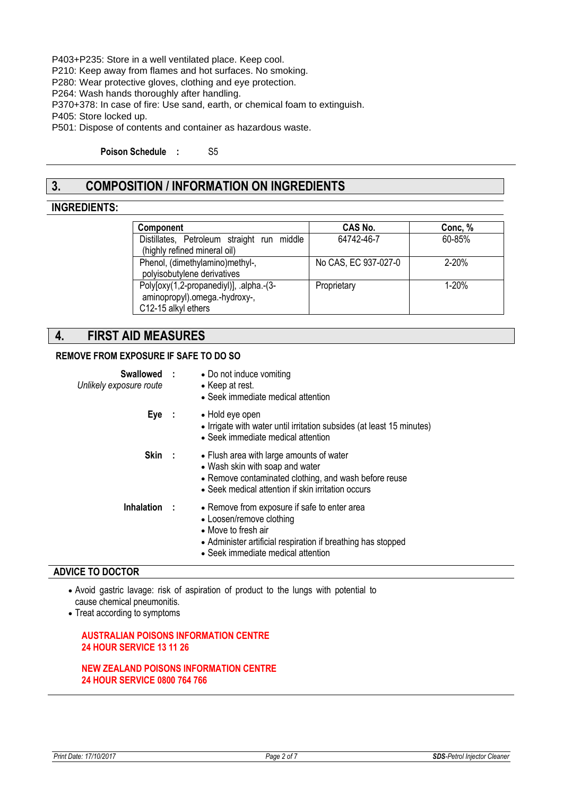P403+P235: Store in a well ventilated place. Keep cool.

P210: Keep away from flames and hot surfaces. No smoking.

P280: Wear protective gloves, clothing and eye protection.

P264: Wash hands thoroughly after handling.

P370+378: In case of fire: Use sand, earth, or chemical foam to extinguish.

P405: Store locked up.

P501: Dispose of contents and container as hazardous waste.

**Poison Schedule :** S5

## **3. COMPOSITION / INFORMATION ON INGREDIENTS**

#### **INGREDIENTS:**

| Component                                                                                       | CAS No.              | Conc, %   |
|-------------------------------------------------------------------------------------------------|----------------------|-----------|
| Distillates, Petroleum straight run middle<br>(highly refined mineral oil)                      | 64742-46-7           | 60-85%    |
| Phenol, (dimethylamino)methyl-,<br>polyisobutylene derivatives                                  | No CAS, EC 937-027-0 | $2 - 20%$ |
| Poly[oxy(1,2-propanediyl)], .alpha.-(3-<br>aminopropyl).omega.-hydroxy-,<br>C12-15 alkyl ethers | Proprietary          | $1 - 20%$ |

#### **4. FIRST AID MEASURES**

#### **REMOVE FROM EXPOSURE IF SAFE TO DO SO**

| Swallowed :<br>Unlikely exposure route | • Do not induce vomiting<br>• Keep at rest.<br>• Seek immediate medical attention                                                                                                                     |
|----------------------------------------|-------------------------------------------------------------------------------------------------------------------------------------------------------------------------------------------------------|
| $Eye$ :                                | • Hold eye open<br>• Irrigate with water until irritation subsides (at least 15 minutes)<br>• Seek immediate medical attention                                                                        |
| Skin:                                  | • Flush area with large amounts of water<br>• Wash skin with soap and water<br>• Remove contaminated clothing, and wash before reuse<br>• Seek medical attention if skin irritation occurs            |
| Inhalation :                           | • Remove from exposure if safe to enter area<br>• Loosen/remove clothing<br>• Move to fresh air<br>• Administer artificial respiration if breathing has stopped<br>• Seek immediate medical attention |

#### **ADVICE TO DOCTOR**

 Avoid gastric lavage: risk of aspiration of product to the lungs with potential to cause chemical pneumonitis.

• Treat according to symptoms

#### **AUSTRALIAN POISONS INFORMATION CENTRE 24 HOUR SERVICE 13 11 26**

#### **NEW ZEALAND POISONS INFORMATION CENTRE 24 HOUR SERVICE 0800 764 766**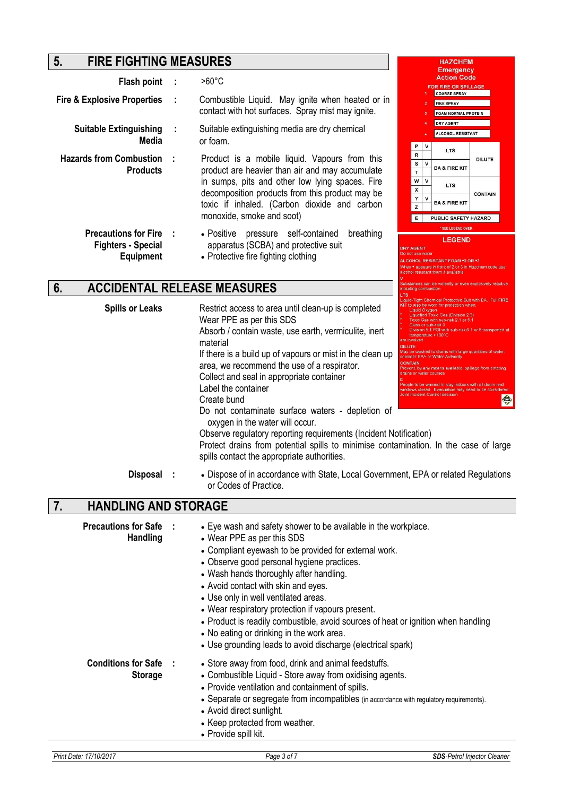## **5. FIRE FIGHTING MEASURES**

|                                                                                                                                                                                                          |           |                                                                                                                                   |  |                                                  |                       | <b>Emergency</b>                                                                                                                                                     |                |  |
|----------------------------------------------------------------------------------------------------------------------------------------------------------------------------------------------------------|-----------|-----------------------------------------------------------------------------------------------------------------------------------|--|--------------------------------------------------|-----------------------|----------------------------------------------------------------------------------------------------------------------------------------------------------------------|----------------|--|
| Flash point                                                                                                                                                                                              |           | $>60^{\circ}$ C                                                                                                                   |  |                                                  |                       | <b>Action Code</b><br><b>FOR FIRE OR SPILLAGE</b>                                                                                                                    |                |  |
| <b>Fire &amp; Explosive Properties</b>                                                                                                                                                                   | ÷         | Combustible Liquid. May ignite when heated or in<br>contact with hot surfaces. Spray mist may ignite.                             |  |                                                  |                       | <b>COARSE SPRAY</b><br><b>FINE SPRAY</b><br><b>FOAM NORMAL PROTEIN</b>                                                                                               |                |  |
| <b>Suitable Extinguishing</b><br>Media                                                                                                                                                                   |           | Suitable extinguishing media are dry chemical<br>or foam.                                                                         |  |                                                  |                       | <b>DRY AGENT</b><br><b>ALCOHOL RESISTANT</b>                                                                                                                         |                |  |
| <b>Hazards from Combustion</b><br>Product is a mobile liquid. Vapours from this<br>product are heavier than air and may accumulate<br><b>Products</b><br>in sumps, pits and other low lying spaces. Fire |           |                                                                                                                                   |  | P<br>$\mathbb{R}$<br>s<br>$\mathbf{T}$<br>W<br>X | v<br>$\mathbf v$<br>v | <b>LTS</b><br><b>BA &amp; FIRE KIT</b><br><b>LTS</b>                                                                                                                 | <b>DILUTE</b>  |  |
|                                                                                                                                                                                                          |           | decomposition products from this product may be<br>toxic if inhaled. (Carbon dioxide and carbon<br>monoxide, smoke and soot)      |  | Y<br>z<br>Е                                      | v                     | <b>BA &amp; FIRE KIT</b><br>PUBLIC SAFETY HAZARD                                                                                                                     | <b>CONTAIN</b> |  |
| <b>Precautions for Fire</b><br><b>Fighters - Special</b><br><b>Equipment</b>                                                                                                                             | $\cdot$ : | pressure self-contained<br>• Positive<br>breathing<br>apparatus (SCBA) and protective suit<br>• Protective fire fighting clothing |  | <b>DRY AGENT</b><br>Do not use water             |                       | * SEE LEGEND OVER<br><b>LEGEND</b><br>COHOL RESISTANT FOAM ∙2 OR ∙3.<br>When • appears in front of 2 or 3 in Hazchem code use<br>alcohol resistant foam if available |                |  |

## **6. ACCIDENTAL RELEASE MEASURES**

| <b>Spills or Leaks</b>                         | Restrict access to area until clean-up is completed<br>Wear PPE as per this SDS<br>Absorb / contain waste, use earth, vermiculite, inert<br>material<br>If there is a build up of vapours or mist in the clean up<br>area, we recommend the use of a respirator.<br>Collect and seal in appropriate container<br>Label the container<br>Create bund<br>Do not contaminate surface waters - depletion of<br>oxygen in the water will occur.<br>Observe regulatory reporting requirements (Incident Notification)<br>Protect drains from potential spills to minimise contamination. In the case of large<br>spills contact the appropriate authorities. | quie-Hont Chemical Protective Suit with BA. Full FIRE<br>KIT to also be worn for protection when<br><b>Liquid Oxygen</b><br>Liquefied Toxic Gas (Division 2.3)<br>Toxic Gas with sub-risk 2.1 or 5.1<br>Class or sub-risk 3<br>Division 5.1 PGI with sub-risk 6.1 or 8 transported at<br>temperature > 100°C<br>are involved<br><b>DILUTE</b><br>May be washed to drains with large quantities of water<br>consider EPA or Water Authority<br><b>CONTAIN</b><br>Prevent, by any means available, spillage from entering<br>drains or water courses<br>People to be warned to stay indoors with all doors and<br>windows closed. Evacuation may need to be considered<br>Joint Incident Control decision<br>今 |
|------------------------------------------------|--------------------------------------------------------------------------------------------------------------------------------------------------------------------------------------------------------------------------------------------------------------------------------------------------------------------------------------------------------------------------------------------------------------------------------------------------------------------------------------------------------------------------------------------------------------------------------------------------------------------------------------------------------|--------------------------------------------------------------------------------------------------------------------------------------------------------------------------------------------------------------------------------------------------------------------------------------------------------------------------------------------------------------------------------------------------------------------------------------------------------------------------------------------------------------------------------------------------------------------------------------------------------------------------------------------------------------------------------------------------------------|
| <b>Disposal</b>                                | • Dispose of in accordance with State, Local Government, EPA or related Regulations<br>or Codes of Practice.                                                                                                                                                                                                                                                                                                                                                                                                                                                                                                                                           |                                                                                                                                                                                                                                                                                                                                                                                                                                                                                                                                                                                                                                                                                                              |
| 7.<br><b>HANDLING AND STORAGE</b>              |                                                                                                                                                                                                                                                                                                                                                                                                                                                                                                                                                                                                                                                        |                                                                                                                                                                                                                                                                                                                                                                                                                                                                                                                                                                                                                                                                                                              |
| <b>Precautions for Safe</b><br><b>Handling</b> | • Eye wash and safety shower to be available in the workplace.<br>• Wear PPE as per this SDS<br>• Compliant eyewash to be provided for external work.<br>• Observe good personal hygiene practices.<br>• Wash hands thoroughly after handling.<br>• Avoid contact with skin and eyes.<br>• Use only in well ventilated areas.                                                                                                                                                                                                                                                                                                                          |                                                                                                                                                                                                                                                                                                                                                                                                                                                                                                                                                                                                                                                                                                              |

- Wear respiratory protection if vapours present.
- Product is readily combustible, avoid sources of heat or ignition when handling
- No eating or drinking in the work area.
- Use grounding leads to avoid discharge (electrical spark)
- **Conditions for Safe Storage :** Store away from food, drink and animal feedstuffs. Combustible Liquid - Store away from oxidising agents.
	- Provide ventilation and containment of spills.
	- Separate or segregate from incompatibles (in accordance with regulatory requirements).
	- Avoid direct sunlight.
	- Keep protected from weather.
	- Provide spill kit.

**HAZCHEM** 

**Suding combustion**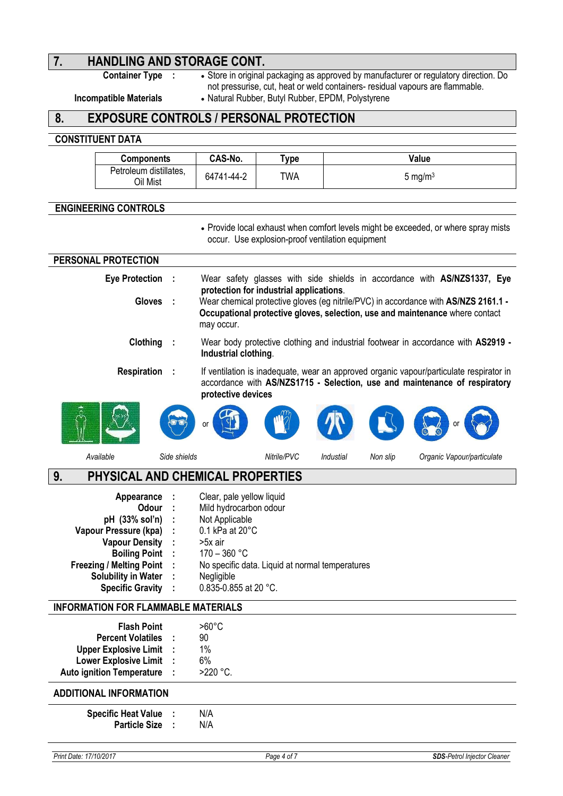# **7. HANDLING AND STORAGE CONT.**<br>Container Type : • Store in original

**·** Store in original packaging as approved by manufacturer or regulatory direction. Do not pressurise, cut, heat or weld containers- residual vapours are flammable.

**Incompatible Materials** . Natural Rubber, Butyl Rubber, EPDM, Polystyrene

## **8. EXPOSURE CONTROLS / PERSONAL PROTECTION**

#### **CONSTITUENT DATA**

| <b>Components</b>                  | CAS-No.    | $T$ vpe | Value               |
|------------------------------------|------------|---------|---------------------|
| Petroleum distillates,<br>Oil Mist | 64741-44-2 | TWA     | 5 mg/m <sup>3</sup> |

#### **ENGINEERING CONTROLS**

 Provide local exhaust when comfort levels might be exceeded, or where spray mists occur. Use explosion-proof ventilation equipment

| PERSONAL PROTECTION                                                                                                                                                                                         |              |                                                                                                                                                                                                                 |
|-------------------------------------------------------------------------------------------------------------------------------------------------------------------------------------------------------------|--------------|-----------------------------------------------------------------------------------------------------------------------------------------------------------------------------------------------------------------|
| <b>Eye Protection</b>                                                                                                                                                                                       |              | Wear safety glasses with side shields in accordance with AS/NZS1337, Eye<br>protection for industrial applications.                                                                                             |
| <b>Gloves</b>                                                                                                                                                                                               | - 11         | Wear chemical protective gloves (eg nitrile/PVC) in accordance with AS/NZS 2161.1 -<br>Occupational protective gloves, selection, use and maintenance where contact<br>may occur.                               |
| Clothing                                                                                                                                                                                                    |              | Wear body protective clothing and industrial footwear in accordance with AS2919 -<br>Industrial clothing.                                                                                                       |
| <b>Respiration</b>                                                                                                                                                                                          |              | If ventilation is inadequate, wear an approved organic vapour/particulate respirator in<br>accordance with AS/NZS1715 - Selection, use and maintenance of respiratory<br>protective devices                     |
|                                                                                                                                                                                                             |              | or                                                                                                                                                                                                              |
| Available                                                                                                                                                                                                   | Side shields | Nitrile/PVC<br>Industial<br>Non slip<br>Organic Vapour/particulate                                                                                                                                              |
| 9.                                                                                                                                                                                                          |              | PHYSICAL AND CHEMICAL PROPERTIES                                                                                                                                                                                |
| Appearance<br>Odour<br>pH (33% sol'n)<br>Vapour Pressure (kpa)<br><b>Vapour Density</b><br><b>Boiling Point</b><br><b>Freezing / Melting Point</b><br><b>Solubility in Water</b><br><b>Specific Gravity</b> |              | Clear, pale yellow liquid<br>Mild hydrocarbon odour<br>Not Applicable<br>0.1 kPa at 20°C<br>>5x air<br>$170 - 360$ °C<br>No specific data. Liquid at normal temperatures<br>Negligible<br>0.835-0.855 at 20 °C. |
| <b>INFORMATION FOR FLAMMABLE MATERIALS</b>                                                                                                                                                                  |              |                                                                                                                                                                                                                 |
| <b>Flash Point</b><br><b>Percent Volatiles</b><br><b>Upper Explosive Limit</b><br><b>Lower Explosive Limit</b><br><b>Auto ignition Temperature</b>                                                          |              | $>60^{\circ}$ C<br>90<br>1%<br>6%<br>>220 °C.                                                                                                                                                                   |
| <b>ADDITIONAL INFORMATION</b>                                                                                                                                                                               |              |                                                                                                                                                                                                                 |
| <b>Specific Heat Value</b><br><b>Particle Size</b>                                                                                                                                                          |              | N/A<br>N/A                                                                                                                                                                                                      |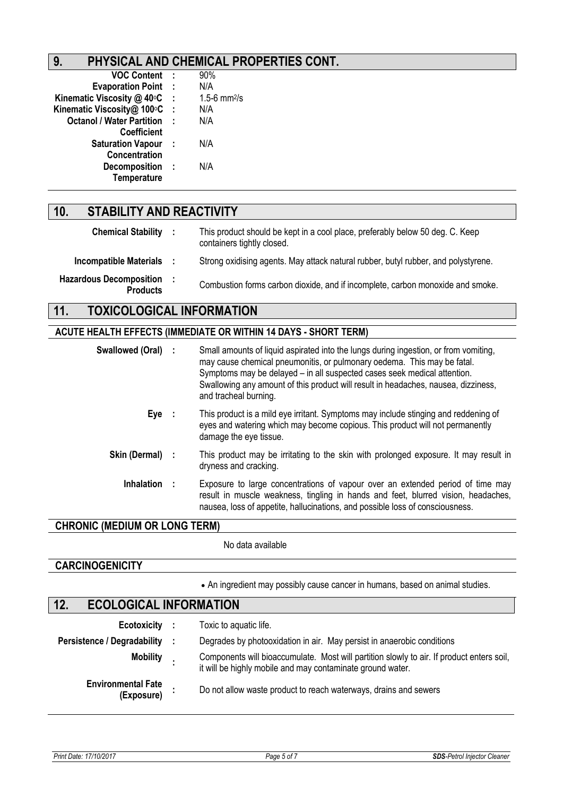## **9. PHYSICAL AND CHEMICAL PROPERTIES CONT.**

| <b>VOC Content</b>               | - 1          | 90%              |
|----------------------------------|--------------|------------------|
| <b>Evaporation Point</b>         | - 1          | N/A              |
| Kinematic Viscosity @ 40°C       | - 1          | 1.5-6 $mm^{2}/s$ |
| Kinematic Viscosity@ 100°C       | $\mathbf{I}$ | N/A              |
| <b>Octanol / Water Partition</b> | ×            | N/A              |
| Coefficient                      |              |                  |
| <b>Saturation Vapour</b>         | - 1          | N/A              |
| Concentration                    |              |                  |
| <b>Decomposition</b>             | - 1          | N/A              |
| Temperature                      |              |                  |
|                                  |              |                  |

## **10. STABILITY AND REACTIVITY**

| <b>Chemical Stability :</b>                | This product should be kept in a cool place, preferably below 50 deg. C. Keep<br>containers tightly closed. |
|--------------------------------------------|-------------------------------------------------------------------------------------------------------------|
| <b>Incompatible Materials</b>              | Strong oxidising agents. May attack natural rubber, butyl rubber, and polystyrene.                          |
| Hazardous Decomposition<br><b>Products</b> | Combustion forms carbon dioxide, and if incomplete, carbon monoxide and smoke.                              |

## **11. TOXICOLOGICAL INFORMATION**

## **ACUTE HEALTH EFFECTS (IMMEDIATE OR WITHIN 14 DAYS - SHORT TERM)**

| Swallowed (Oral)  | Small amounts of liquid aspirated into the lungs during ingestion, or from vomiting,<br>may cause chemical pneumonitis, or pulmonary oedema. This may be fatal.<br>Symptoms may be delayed - in all suspected cases seek medical attention.<br>Swallowing any amount of this product will result in headaches, nausea, dizziness,<br>and tracheal burning. |
|-------------------|------------------------------------------------------------------------------------------------------------------------------------------------------------------------------------------------------------------------------------------------------------------------------------------------------------------------------------------------------------|
| Eye :             | This product is a mild eye irritant. Symptoms may include stinging and reddening of<br>eyes and watering which may become copious. This product will not permanently<br>damage the eye tissue.                                                                                                                                                             |
| Skin (Dermal) :   | This product may be irritating to the skin with prolonged exposure. It may result in<br>dryness and cracking.                                                                                                                                                                                                                                              |
| <b>Inhalation</b> | Exposure to large concentrations of vapour over an extended period of time may<br>result in muscle weakness, tingling in hands and feet, blurred vision, headaches,<br>nausea, loss of appetite, hallucinations, and possible loss of consciousness.                                                                                                       |

## **CHRONIC (MEDIUM OR LONG TERM)**

No data available

### **CARCINOGENICITY**

An ingredient may possibly cause cancer in humans, based on animal studies.

## **12. ECOLOGICAL INFORMATION**

| Ecotoxicity :                           | Toxic to aquatic life.                                                                                                                                  |
|-----------------------------------------|---------------------------------------------------------------------------------------------------------------------------------------------------------|
| <b>Persistence / Degradability</b>      | Degrades by photooxidation in air. May persist in anaerobic conditions                                                                                  |
| <b>Mobility</b>                         | Components will bioaccumulate. Most will partition slowly to air. If product enters soil,<br>it will be highly mobile and may contaminate ground water. |
| <b>Environmental Fate</b><br>(Exposure) | Do not allow waste product to reach waterways, drains and sewers                                                                                        |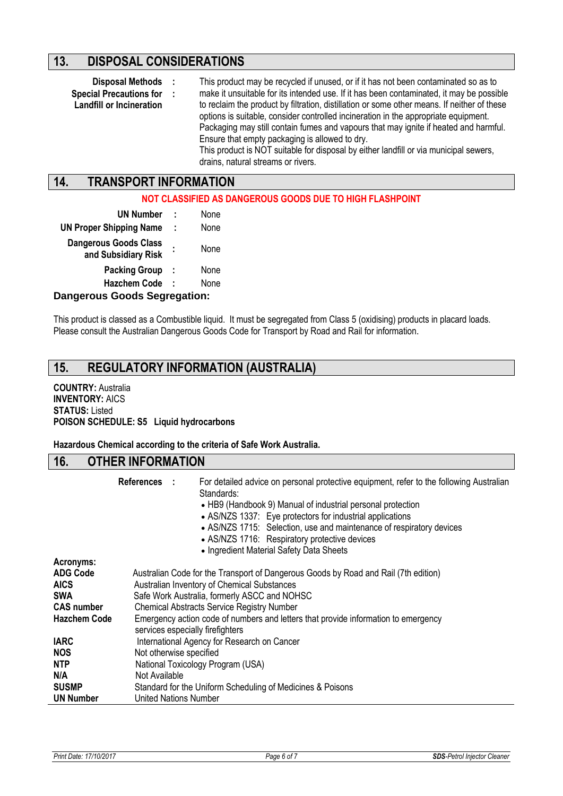## **13. DISPOSAL CONSIDERATIONS**

**:**

- 
- **Special Precautions for**
- **Landfill or Incineration**

**Disposal Methods :** This product may be recycled if unused, or if it has not been contaminated so as to make it unsuitable for its intended use. If it has been contaminated, it may be possible to reclaim the product by filtration, distillation or some other means. If neither of these options is suitable, consider controlled incineration in the appropriate equipment. Packaging may still contain fumes and vapours that may ignite if heated and harmful. Ensure that empty packaging is allowed to dry. This product is NOT suitable for disposal by either landfill or via municipal sewers, drains, natural streams or rivers.

## **14. TRANSPORT INFORMATION**

#### **NOT CLASSIFIED AS DANGEROUS GOODS DUE TO HIGH FLASHPOINT**

| <b>UN Number</b>                                    | ÷ | None |
|-----------------------------------------------------|---|------|
| <b>UN Proper Shipping Name</b>                      | ÷ | None |
| <b>Dangerous Goods Class</b><br>and Subsidiary Risk |   | None |
| <b>Packing Group</b>                                | ÷ | None |
| <b>Hazchem Code</b>                                 | ÷ | None |
| Iangarous Goods Sagrapation:                        |   |      |

#### **Dangerous Goods Segregation:**

This product is classed as a Combustible liquid. It must be segregated from Class 5 (oxidising) products in placard loads. Please consult the Australian Dangerous Goods Code for Transport by Road and Rail for information.

## **15. REGULATORY INFORMATION (AUSTRALIA)**

#### **COUNTRY:** Australia **INVENTORY:** AICS **STATUS:** Listed **POISON SCHEDULE: S5 Liquid hydrocarbons**

**Hazardous Chemical according to the criteria of Safe Work Australia.**

#### **16. OTHER INFORMATION**

|                                                                                                       | References :  | For detailed advice on personal protective equipment, refer to the following Australian<br>Standards:<br>• HB9 (Handbook 9) Manual of industrial personal protection<br>• AS/NZS 1337: Eye protectors for industrial applications<br>• AS/NZS 1715: Selection, use and maintenance of respiratory devices<br>• AS/NZS 1716: Respiratory protective devices<br>• Ingredient Material Safety Data Sheets |
|-------------------------------------------------------------------------------------------------------|---------------|--------------------------------------------------------------------------------------------------------------------------------------------------------------------------------------------------------------------------------------------------------------------------------------------------------------------------------------------------------------------------------------------------------|
| Acronyms:<br><b>ADG Code</b><br><b>AICS</b><br><b>SWA</b><br><b>CAS number</b><br><b>Hazchem Code</b> |               | Australian Code for the Transport of Dangerous Goods by Road and Rail (7th edition)<br>Australian Inventory of Chemical Substances<br>Safe Work Australia, formerly ASCC and NOHSC<br><b>Chemical Abstracts Service Registry Number</b><br>Emergency action code of numbers and letters that provide information to emergency<br>services especially firefighters                                      |
| <b>IARC</b><br><b>NOS</b><br><b>NTP</b><br>N/A<br><b>SUSMP</b><br><b>UN Number</b>                    | Not Available | International Agency for Research on Cancer<br>Not otherwise specified<br>National Toxicology Program (USA)<br>Standard for the Uniform Scheduling of Medicines & Poisons<br><b>United Nations Number</b>                                                                                                                                                                                              |